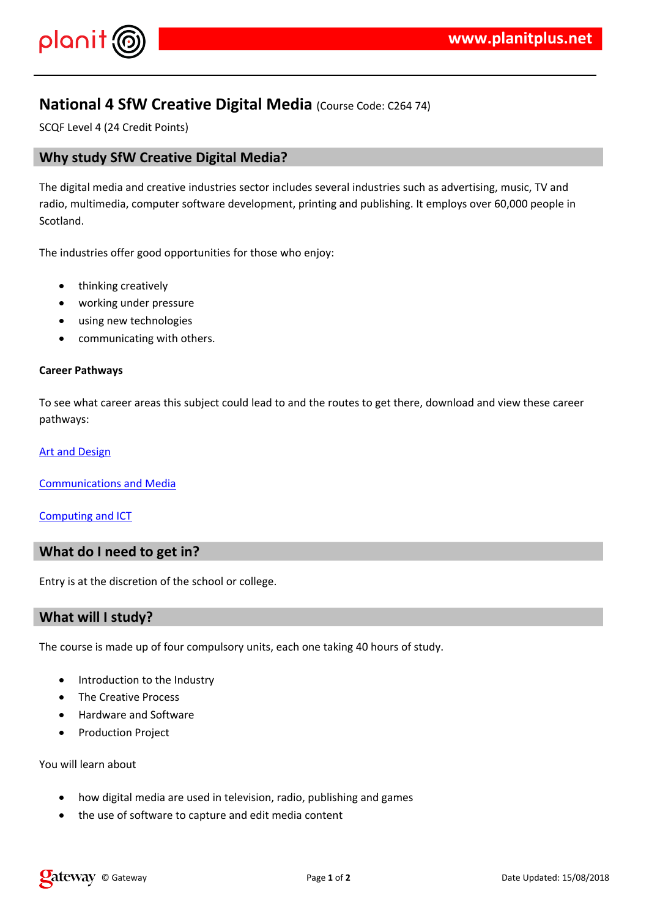$!$  " # \$ %  $8 \quad 8'$ 

- $+$  %  $'$
- $( ) 8' 8$  $9 & 8 & 11$ 
	- $8'28' + 8\$$  $28'$  $8'$  +  $)$  % &  $+$  \*\*  $8 + 8$  (8) ) /
- $($  ) +  $.1$  ) +  $8 + \%$  ( ) ) , '% ' \$ & )  $\left( \begin{array}{c} \end{array} \right)$
- $3'$  &  $'$
- $*$   $*$   $8 + 8$   $*$  4 8
- $\star$  8' 0 (
- $5'$  & ) & + + & '% + %) % /

 $( ) + 8 * + * %'8 , + \}$  28')  $\overline{1}$ 

 $0'$  + & '  $)0'$  $\frac{1}{\sqrt{2}}$  $8 $ +$  $( )$  $6<sup>6</sup>$  $+ 8'$  1 +

 $7\quad 8\%$  %  $\%$  '

 $(3)$  8.8 % \* 8.8 ' % \$ 8.8 ', 8., . % 8.) & ' '  $+$   $8^*$   $8 +$  ''  $\rightarrow$